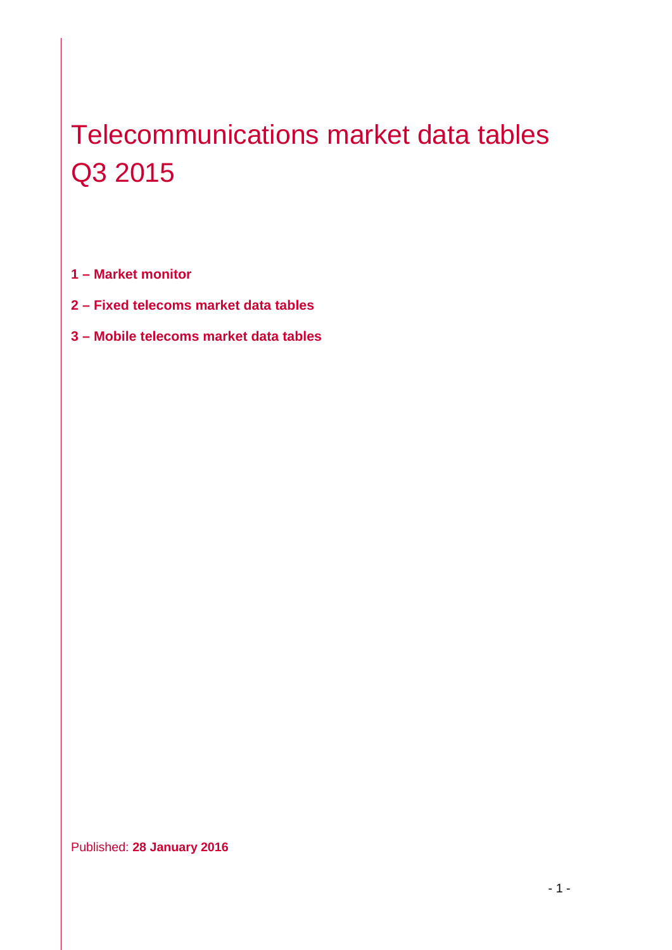# Telecommunications market data tables Q3 2015

**1 – Market monitor**

- **2 – Fixed telecoms market data tables**
- **3 – Mobile telecoms market data tables**

Published: **28 January 2016**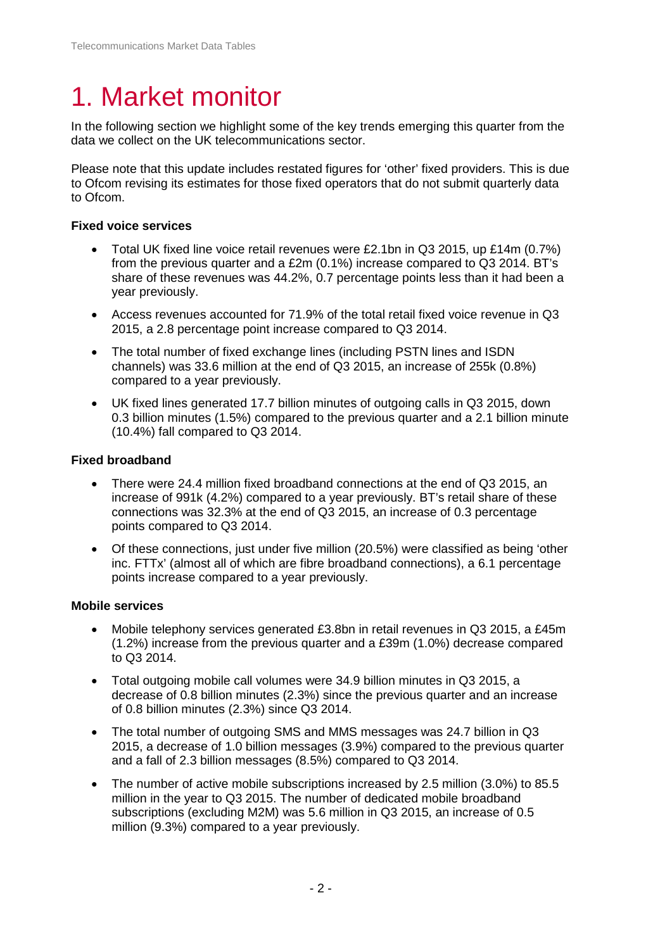# 1. Market monitor

In the following section we highlight some of the key trends emerging this quarter from the data we collect on the UK telecommunications sector.

Please note that this update includes restated figures for 'other' fixed providers. This is due to Ofcom revising its estimates for those fixed operators that do not submit quarterly data to Ofcom.

#### **Fixed voice services**

- Total UK fixed line voice retail revenues were £2.1bn in Q3 2015, up £14m (0.7%) from the previous quarter and a £2m (0.1%) increase compared to Q3 2014. BT's share of these revenues was 44.2%, 0.7 percentage points less than it had been a year previously.
- Access revenues accounted for 71.9% of the total retail fixed voice revenue in Q3 2015, a 2.8 percentage point increase compared to Q3 2014.
- The total number of fixed exchange lines (including PSTN lines and ISDN channels) was 33.6 million at the end of Q3 2015, an increase of 255k (0.8%) compared to a year previously.
- UK fixed lines generated 17.7 billion minutes of outgoing calls in Q3 2015, down 0.3 billion minutes (1.5%) compared to the previous quarter and a 2.1 billion minute (10.4%) fall compared to Q3 2014.

#### **Fixed broadband**

- There were 24.4 million fixed broadband connections at the end of Q3 2015, an increase of 991k (4.2%) compared to a year previously. BT's retail share of these connections was 32.3% at the end of Q3 2015, an increase of 0.3 percentage points compared to Q3 2014.
- Of these connections, just under five million (20.5%) were classified as being 'other inc. FTTx' (almost all of which are fibre broadband connections), a 6.1 percentage points increase compared to a year previously.

#### **Mobile services**

- Mobile telephony services generated £3.8bn in retail revenues in Q3 2015, a £45m (1.2%) increase from the previous quarter and a £39m (1.0%) decrease compared to Q3 2014.
- Total outgoing mobile call volumes were 34.9 billion minutes in Q3 2015, a decrease of 0.8 billion minutes (2.3%) since the previous quarter and an increase of 0.8 billion minutes (2.3%) since Q3 2014.
- The total number of outgoing SMS and MMS messages was 24.7 billion in Q3 2015, a decrease of 1.0 billion messages (3.9%) compared to the previous quarter and a fall of 2.3 billion messages (8.5%) compared to Q3 2014.
- The number of active mobile subscriptions increased by 2.5 million (3.0%) to 85.5 million in the year to Q3 2015. The number of dedicated mobile broadband subscriptions (excluding M2M) was 5.6 million in Q3 2015, an increase of 0.5 million (9.3%) compared to a year previously.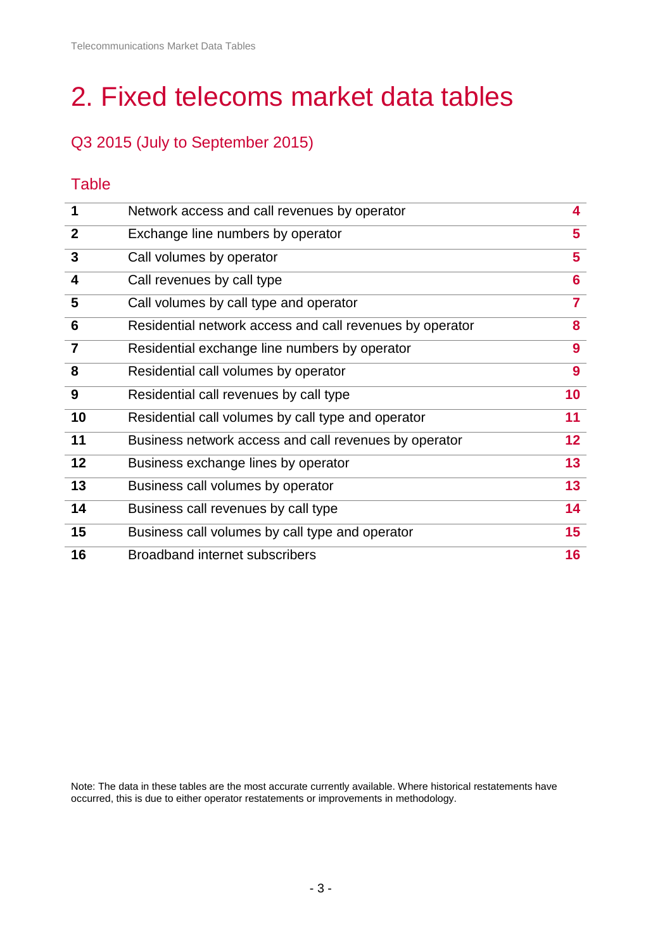# 2. Fixed telecoms market data tables

# Q3 2015 (July to September 2015)

## **Table**

| 1                       | Network access and call revenues by operator             | $\overline{\mathbf{4}}$ |
|-------------------------|----------------------------------------------------------|-------------------------|
| $\overline{2}$          | Exchange line numbers by operator                        | 5                       |
| $\mathbf{3}$            | Call volumes by operator                                 | 5                       |
| $\overline{\mathbf{4}}$ | Call revenues by call type                               | 6                       |
| 5                       | Call volumes by call type and operator                   | $\overline{7}$          |
| $6\phantom{1}6$         | Residential network access and call revenues by operator | 8                       |
| $\overline{7}$          | Residential exchange line numbers by operator            | 9                       |
| 8                       | Residential call volumes by operator                     | 9                       |
| 9                       | Residential call revenues by call type                   | 10                      |
| 10                      | Residential call volumes by call type and operator       | 11                      |
| 11                      | Business network access and call revenues by operator    | 12 <sub>2</sub>         |
| 12                      | Business exchange lines by operator                      | 13                      |
| 13                      | Business call volumes by operator                        | 13                      |
| 14                      | Business call revenues by call type                      | 14                      |
| 15                      | Business call volumes by call type and operator          | 15 <sub>1</sub>         |
| 16                      | <b>Broadband internet subscribers</b>                    | 16                      |

Note: The data in these tables are the most accurate currently available. Where historical restatements have occurred, this is due to either operator restatements or improvements in methodology.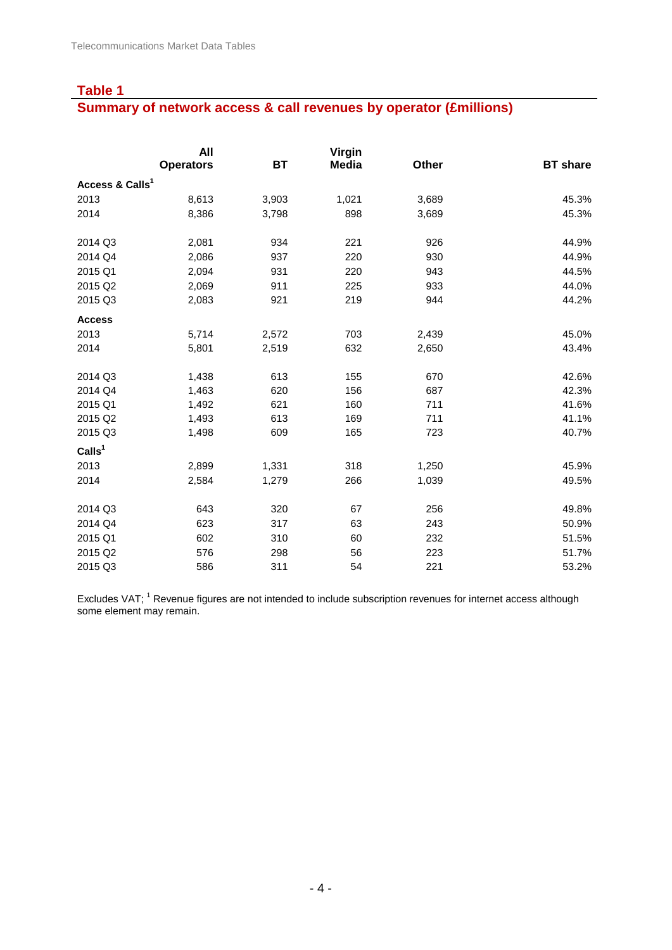#### **Summary of network access & call revenues by operator (£millions)**

|                             | All              |           | Virgin       |       |                 |
|-----------------------------|------------------|-----------|--------------|-------|-----------------|
|                             | <b>Operators</b> | <b>BT</b> | <b>Media</b> | Other | <b>BT</b> share |
| Access & Calls <sup>1</sup> |                  |           |              |       |                 |
| 2013                        | 8,613            | 3,903     | 1,021        | 3,689 | 45.3%           |
| 2014                        | 8,386            | 3,798     | 898          | 3,689 | 45.3%           |
| 2014 Q3                     | 2,081            | 934       | 221          | 926   | 44.9%           |
| 2014 Q4                     | 2,086            | 937       | 220          | 930   | 44.9%           |
| 2015 Q1                     | 2,094            | 931       | 220          | 943   | 44.5%           |
| 2015 Q2                     | 2,069            | 911       | 225          | 933   | 44.0%           |
| 2015 Q3                     | 2,083            | 921       | 219          | 944   | 44.2%           |
| <b>Access</b>               |                  |           |              |       |                 |
| 2013                        | 5,714            | 2,572     | 703          | 2,439 | 45.0%           |
| 2014                        | 5,801            | 2,519     | 632          | 2,650 | 43.4%           |
| 2014 Q3                     | 1,438            | 613       | 155          | 670   | 42.6%           |
| 2014 Q4                     | 1,463            | 620       | 156          | 687   | 42.3%           |
| 2015 Q1                     | 1,492            | 621       | 160          | 711   | 41.6%           |
| 2015 Q2                     | 1,493            | 613       | 169          | 711   | 41.1%           |
| 2015 Q3                     | 1,498            | 609       | 165          | 723   | 40.7%           |
| CalIs <sup>1</sup>          |                  |           |              |       |                 |
| 2013                        | 2,899            | 1,331     | 318          | 1,250 | 45.9%           |
| 2014                        | 2,584            | 1,279     | 266          | 1,039 | 49.5%           |
| 2014 Q3                     | 643              | 320       | 67           | 256   | 49.8%           |
| 2014 Q4                     | 623              | 317       | 63           | 243   | 50.9%           |
| 2015 Q1                     | 602              | 310       | 60           | 232   | 51.5%           |
| 2015 Q2                     | 576              | 298       | 56           | 223   | 51.7%           |
| 2015 Q3                     | 586              | 311       | 54           | 221   | 53.2%           |

Excludes VAT; <sup>1</sup> Revenue figures are not intended to include subscription revenues for internet access although some element may remain.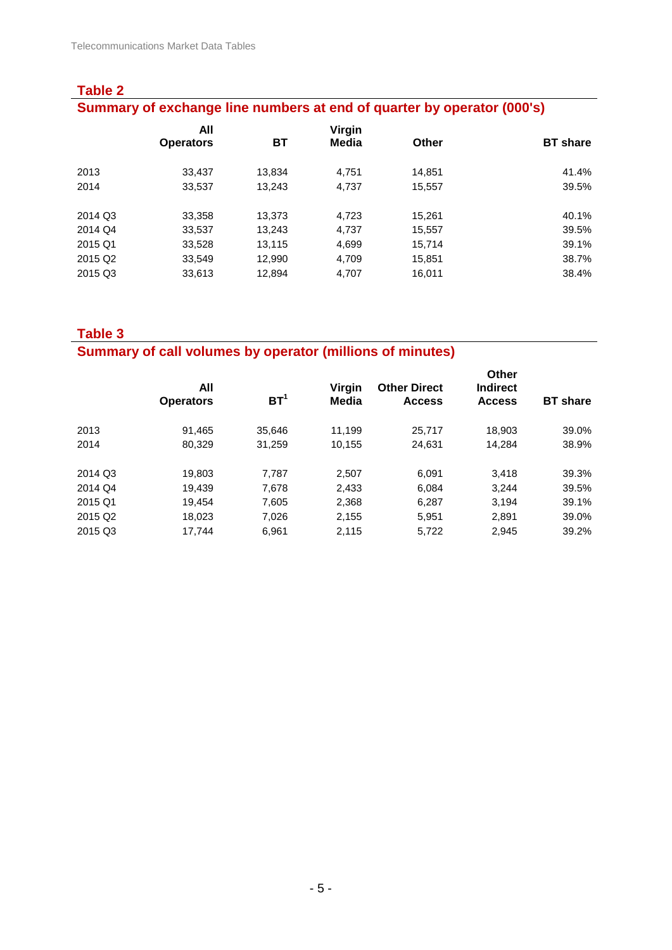| <b>Table 2</b>                                                         |                         |        |                 |        |                 |  |  |  |
|------------------------------------------------------------------------|-------------------------|--------|-----------------|--------|-----------------|--|--|--|
| Summary of exchange line numbers at end of quarter by operator (000's) |                         |        |                 |        |                 |  |  |  |
|                                                                        | All<br><b>Operators</b> | ВT     | Virgin<br>Media | Other  | <b>BT</b> share |  |  |  |
| 2013                                                                   | 33,437                  | 13.834 | 4.751           | 14.851 | 41.4%           |  |  |  |
| 2014                                                                   | 33,537                  | 13.243 | 4.737           | 15.557 | 39.5%           |  |  |  |
| 2014 Q3                                                                | 33,358                  | 13.373 | 4,723           | 15.261 | 40.1%           |  |  |  |
| 2014 Q4                                                                | 33,537                  | 13.243 | 4.737           | 15,557 | 39.5%           |  |  |  |
| 2015 Q1                                                                | 33,528                  | 13.115 | 4,699           | 15.714 | 39.1%           |  |  |  |
| 2015 Q <sub>2</sub>                                                    | 33,549                  | 12.990 | 4.709           | 15.851 | 38.7%           |  |  |  |
| 2015 Q3                                                                | 33.613                  | 12.894 | 4.707           | 16.011 | 38.4%           |  |  |  |

#### **Summary of call volumes by operator (millions of minutes)**

|                     | All<br><b>Operators</b> | BT <sup>1</sup> | Virgin<br>Media | <b>Other Direct</b><br><b>Access</b> | <b>Other</b><br><b>Indirect</b><br><b>Access</b> | <b>BT</b> share |
|---------------------|-------------------------|-----------------|-----------------|--------------------------------------|--------------------------------------------------|-----------------|
| 2013                | 91.465                  | 35.646          | 11.199          | 25,717                               | 18.903                                           | 39.0%           |
| 2014                | 80.329                  | 31,259          | 10,155          | 24,631                               | 14.284                                           | 38.9%           |
| 2014 Q3             | 19,803                  | 7.787           | 2.507           | 6.091                                | 3.418                                            | 39.3%           |
| 2014 Q4             | 19.439                  | 7.678           | 2.433           | 6.084                                | 3.244                                            | 39.5%           |
| 2015 Q1             | 19.454                  | 7,605           | 2,368           | 6,287                                | 3.194                                            | 39.1%           |
| 2015 Q <sub>2</sub> | 18.023                  | 7.026           | 2,155           | 5,951                                | 2.891                                            | 39.0%           |
| 2015 Q3             | 17,744                  | 6.961           | 2,115           | 5,722                                | 2,945                                            | 39.2%           |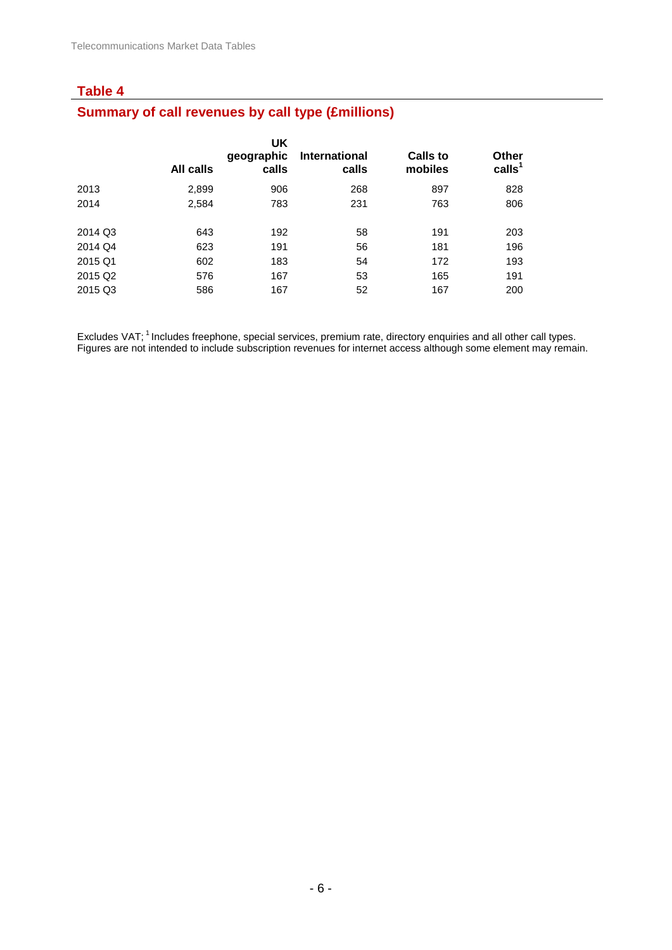# **Summary of call revenues by call type (£millions)**

|                     | All calls | UK<br>geographic<br>calls | <b>International</b><br>calls | <b>Calls to</b><br>mobiles | <b>Other</b><br>calls <sup>1</sup> |
|---------------------|-----------|---------------------------|-------------------------------|----------------------------|------------------------------------|
| 2013                | 2,899     | 906                       | 268                           | 897                        | 828                                |
| 2014                | 2,584     | 783                       | 231                           | 763                        | 806                                |
|                     |           |                           |                               |                            |                                    |
| 2014 Q3             | 643       | 192                       | 58                            | 191                        | 203                                |
| 2014 Q4             | 623       | 191                       | 56                            | 181                        | 196                                |
| 2015 Q1             | 602       | 183                       | 54                            | 172                        | 193                                |
| 2015 Q <sub>2</sub> | 576       | 167                       | 53                            | 165                        | 191                                |
| 2015 Q3             | 586       | 167                       | 52                            | 167                        | 200                                |
|                     |           |                           |                               |                            |                                    |

Excludes VAT; <sup>1</sup> Includes freephone, special services, premium rate, directory enquiries and all other call types. Figures are not intended to include subscription revenues for internet access although some element may remain.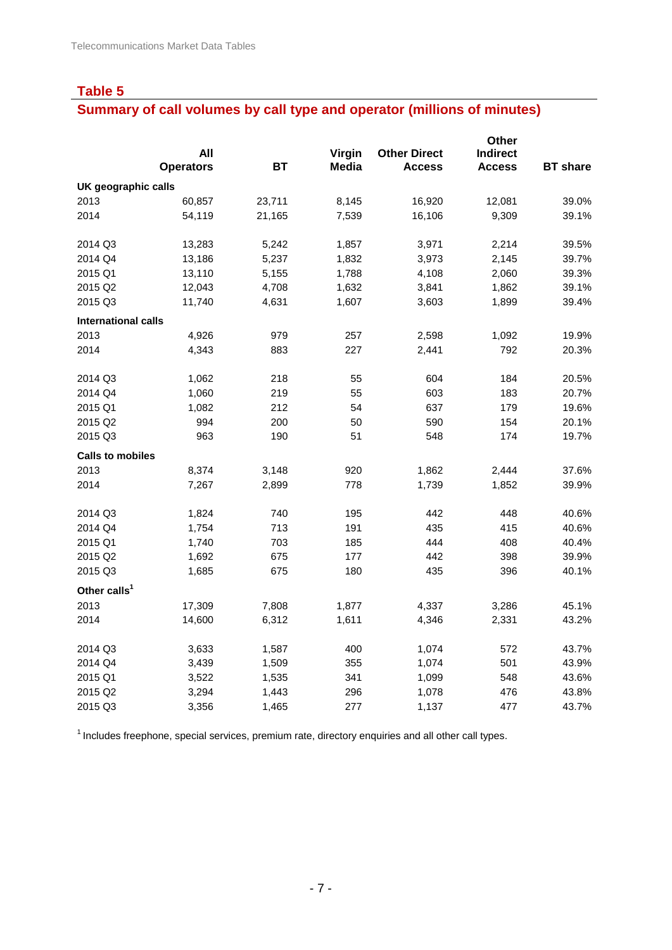# **Summary of call volumes by call type and operator (millions of minutes)**

|                            |                  |           |              |                     | Other           |                 |
|----------------------------|------------------|-----------|--------------|---------------------|-----------------|-----------------|
|                            | All              |           | Virgin       | <b>Other Direct</b> | <b>Indirect</b> |                 |
|                            | <b>Operators</b> | <b>BT</b> | <b>Media</b> | <b>Access</b>       | <b>Access</b>   | <b>BT</b> share |
| UK geographic calls        |                  |           |              |                     |                 |                 |
| 2013                       | 60,857           | 23,711    | 8,145        | 16,920              | 12,081          | 39.0%           |
| 2014                       | 54,119           | 21,165    | 7,539        | 16,106              | 9,309           | 39.1%           |
| 2014 Q3                    | 13,283           | 5,242     | 1,857        | 3,971               | 2,214           | 39.5%           |
| 2014 Q4                    | 13,186           | 5,237     | 1,832        | 3,973               | 2,145           | 39.7%           |
| 2015 Q1                    | 13,110           | 5,155     | 1,788        | 4,108               | 2,060           | 39.3%           |
| 2015 Q2                    | 12,043           | 4,708     | 1,632        | 3,841               | 1,862           | 39.1%           |
| 2015 Q3                    | 11,740           | 4,631     | 1,607        | 3,603               | 1,899           | 39.4%           |
| <b>International calls</b> |                  |           |              |                     |                 |                 |
| 2013                       | 4,926            | 979       | 257          | 2,598               | 1,092           | 19.9%           |
| 2014                       | 4,343            | 883       | 227          | 2,441               | 792             | 20.3%           |
| 2014 Q3                    | 1,062            | 218       | 55           | 604                 | 184             | 20.5%           |
| 2014 Q4                    | 1,060            | 219       | 55           | 603                 | 183             | 20.7%           |
| 2015 Q1                    | 1,082            | 212       | 54           | 637                 | 179             | 19.6%           |
| 2015 Q2                    | 994              | 200       | 50           | 590                 | 154             | 20.1%           |
| 2015 Q3                    | 963              | 190       | 51           | 548                 | 174             | 19.7%           |
| <b>Calls to mobiles</b>    |                  |           |              |                     |                 |                 |
| 2013                       | 8,374            | 3,148     | 920          | 1,862               | 2,444           | 37.6%           |
| 2014                       | 7,267            | 2,899     | 778          | 1,739               | 1,852           | 39.9%           |
| 2014 Q3                    | 1,824            | 740       | 195          | 442                 | 448             | 40.6%           |
| 2014 Q4                    | 1,754            | 713       | 191          | 435                 | 415             | 40.6%           |
| 2015 Q1                    | 1,740            | 703       | 185          | 444                 | 408             | 40.4%           |
| 2015 Q2                    | 1,692            | 675       | 177          | 442                 | 398             | 39.9%           |
| 2015 Q3                    | 1,685            | 675       | 180          | 435                 | 396             | 40.1%           |
| Other calls <sup>1</sup>   |                  |           |              |                     |                 |                 |
| 2013                       | 17,309           | 7,808     | 1,877        | 4,337               | 3,286           | 45.1%           |
| 2014                       | 14,600           | 6,312     | 1,611        | 4,346               | 2,331           | 43.2%           |
| 2014 Q3                    | 3,633            | 1,587     | 400          | 1,074               | 572             | 43.7%           |
| 2014 Q4                    | 3,439            | 1,509     | 355          | 1,074               | 501             | 43.9%           |
| 2015 Q1                    | 3,522            | 1,535     | 341          | 1,099               | 548             | 43.6%           |
| 2015 Q2                    | 3,294            | 1,443     | 296          | 1,078               | 476             | 43.8%           |
| 2015 Q3                    | 3,356            | 1,465     | 277          | 1,137               | 477             | 43.7%           |

<sup>1</sup> Includes freephone, special services, premium rate, directory enquiries and all other call types.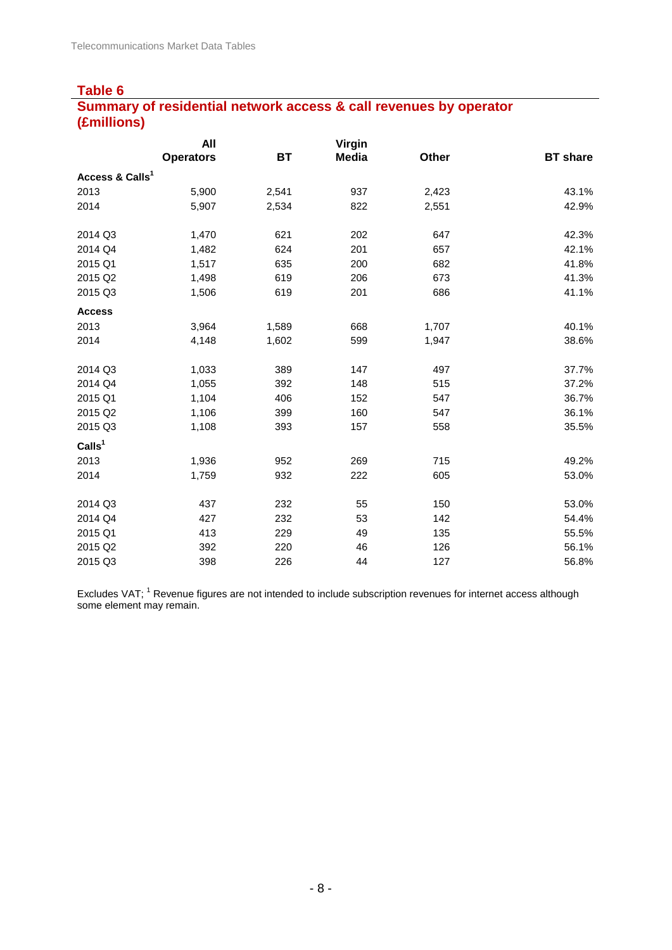## **Table 6 Summary of residential network access & call revenues by operator (£millions)**

|                             | All              |           | Virgin       |       |                 |
|-----------------------------|------------------|-----------|--------------|-------|-----------------|
|                             | <b>Operators</b> | <b>BT</b> | <b>Media</b> | Other | <b>BT</b> share |
| Access & Calls <sup>1</sup> |                  |           |              |       |                 |
| 2013                        | 5,900            | 2,541     | 937          | 2,423 | 43.1%           |
| 2014                        | 5,907            | 2,534     | 822          | 2,551 | 42.9%           |
| 2014 Q3                     | 1,470            | 621       | 202          | 647   | 42.3%           |
| 2014 Q4                     | 1,482            | 624       | 201          | 657   | 42.1%           |
| 2015 Q1                     | 1,517            | 635       | 200          | 682   | 41.8%           |
| 2015 Q2                     | 1,498            | 619       | 206          | 673   | 41.3%           |
| 2015 Q3                     | 1,506            | 619       | 201          | 686   | 41.1%           |
| <b>Access</b>               |                  |           |              |       |                 |
| 2013                        | 3,964            | 1,589     | 668          | 1,707 | 40.1%           |
| 2014                        | 4,148            | 1,602     | 599          | 1,947 | 38.6%           |
| 2014 Q3                     | 1,033            | 389       | 147          | 497   | 37.7%           |
| 2014 Q4                     | 1,055            | 392       | 148          | 515   | 37.2%           |
| 2015 Q1                     | 1,104            | 406       | 152          | 547   | 36.7%           |
| 2015 Q2                     | 1,106            | 399       | 160          | 547   | 36.1%           |
| 2015 Q3                     | 1,108            | 393       | 157          | 558   | 35.5%           |
| Calls <sup>1</sup>          |                  |           |              |       |                 |
| 2013                        | 1,936            | 952       | 269          | 715   | 49.2%           |
| 2014                        | 1,759            | 932       | 222          | 605   | 53.0%           |
| 2014 Q3                     | 437              | 232       | 55           | 150   | 53.0%           |
| 2014 Q4                     | 427              | 232       | 53           | 142   | 54.4%           |
| 2015 Q1                     | 413              | 229       | 49           | 135   | 55.5%           |
| 2015 Q2                     | 392              | 220       | 46           | 126   | 56.1%           |
| 2015 Q3                     | 398              | 226       | 44           | 127   | 56.8%           |

Excludes VAT; <sup>1</sup> Revenue figures are not intended to include subscription revenues for internet access although some element may remain.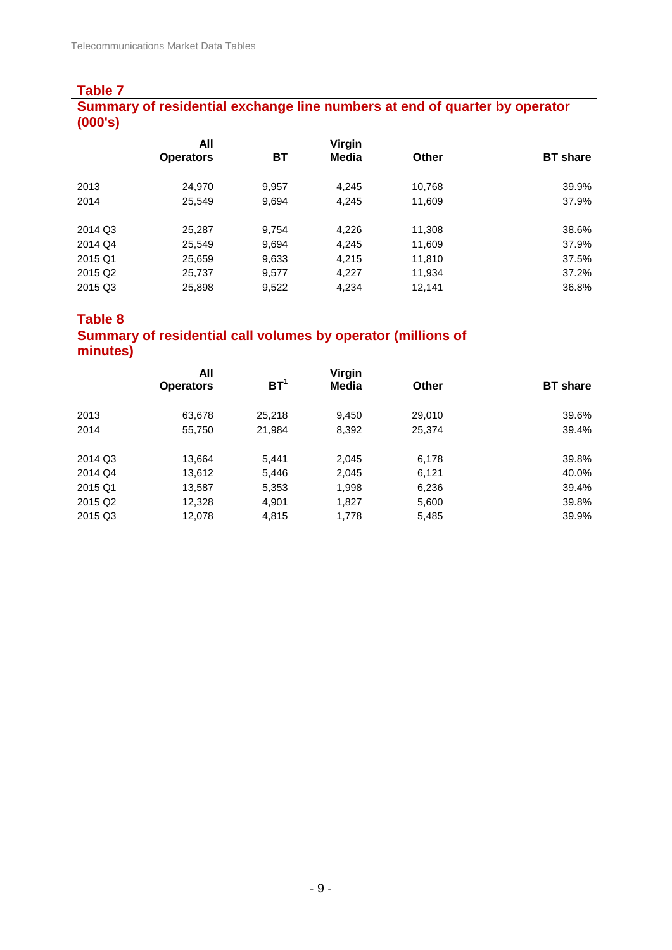#### **Table 7 Summary of residential exchange line numbers at end of quarter by operator (000's)**

| All              |       | Virgin |              |                 |
|------------------|-------|--------|--------------|-----------------|
| <b>Operators</b> | ВT    | Media  | <b>Other</b> | <b>BT</b> share |
| 24,970           | 9,957 | 4,245  | 10,768       | 39.9%           |
| 25,549           | 9,694 | 4,245  | 11,609       | 37.9%           |
| 25,287           | 9,754 | 4,226  | 11,308       | 38.6%           |
| 25,549           | 9,694 | 4,245  | 11,609       | 37.9%           |
| 25,659           | 9,633 | 4,215  | 11,810       | 37.5%           |
| 25,737           | 9,577 | 4,227  | 11,934       | 37.2%           |
| 25,898           | 9,522 | 4,234  | 12,141       | 36.8%           |
|                  |       |        |              |                 |

## **Table 8**

## **Summary of residential call volumes by operator (millions of minutes)**

|         | All              |                 | Virgin |        |                 |
|---------|------------------|-----------------|--------|--------|-----------------|
|         | <b>Operators</b> | BT <sup>1</sup> | Media  | Other  | <b>BT</b> share |
| 2013    | 63,678           | 25.218          | 9,450  | 29,010 | 39.6%           |
| 2014    | 55,750           | 21,984          | 8,392  | 25,374 | 39.4%           |
| 2014 Q3 | 13,664           | 5,441           | 2,045  | 6,178  | 39.8%           |
| 2014 Q4 | 13,612           | 5,446           | 2,045  | 6,121  | 40.0%           |
| 2015 Q1 | 13,587           | 5,353           | 1,998  | 6,236  | 39.4%           |
| 2015 Q2 | 12,328           | 4,901           | 1,827  | 5,600  | 39.8%           |
| 2015 Q3 | 12,078           | 4,815           | 1,778  | 5,485  | 39.9%           |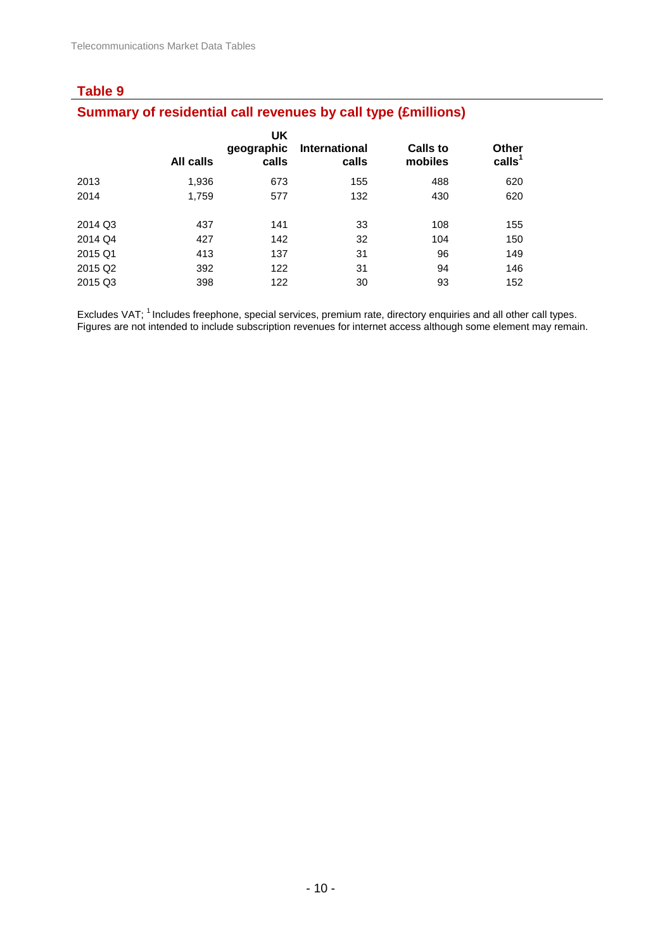## **Summary of residential call revenues by call type (£millions)**

|         | All calls | UK<br>geographic<br>calls | <b>International</b><br>calls | <b>Calls to</b><br>mobiles | <b>Other</b><br>calls <sup>1</sup> |
|---------|-----------|---------------------------|-------------------------------|----------------------------|------------------------------------|
| 2013    | 1,936     | 673                       | 155                           | 488                        | 620                                |
| 2014    | 1,759     | 577                       | 132                           | 430                        | 620                                |
|         |           |                           |                               |                            |                                    |
| 2014 Q3 | 437       | 141                       | 33                            | 108                        | 155                                |
| 2014 Q4 | 427       | 142                       | 32                            | 104                        | 150                                |
| 2015 Q1 | 413       | 137                       | 31                            | 96                         | 149                                |
| 2015 Q2 | 392       | 122                       | 31                            | 94                         | 146                                |
| 2015 Q3 | 398       | 122                       | 30                            | 93                         | 152                                |
|         |           |                           |                               |                            |                                    |

Excludes VAT; <sup>1</sup> Includes freephone, special services, premium rate, directory enquiries and all other call types. Figures are not intended to include subscription revenues for internet access although some element may remain.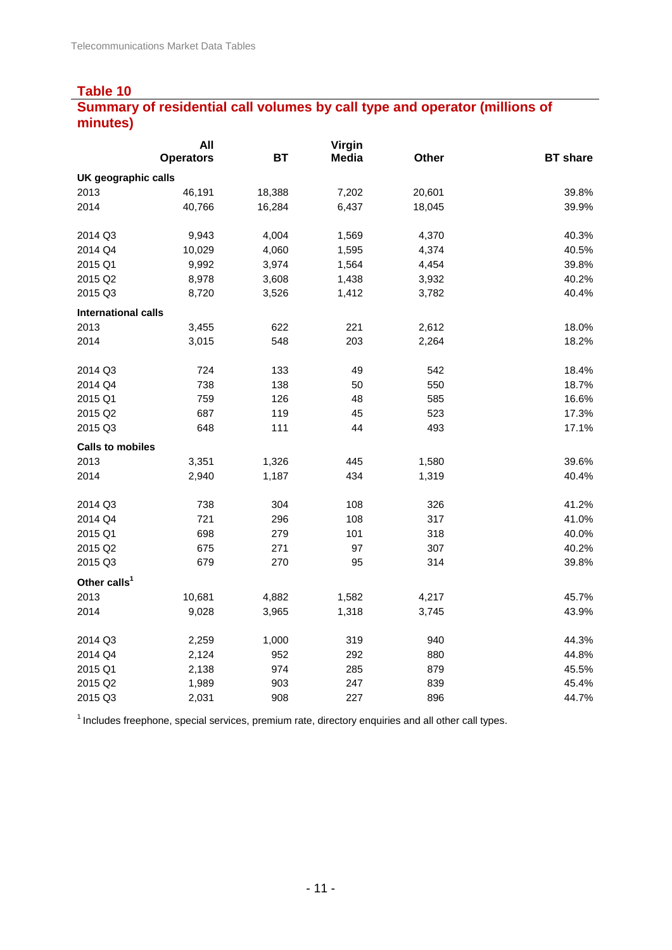## **Summary of residential call volumes by call type and operator (millions of minutes)**

|                            | All              |           | Virgin       |        |                 |
|----------------------------|------------------|-----------|--------------|--------|-----------------|
|                            | <b>Operators</b> | <b>BT</b> | <b>Media</b> | Other  | <b>BT</b> share |
| UK geographic calls        |                  |           |              |        |                 |
| 2013                       | 46,191           | 18,388    | 7,202        | 20,601 | 39.8%           |
| 2014                       | 40,766           | 16,284    | 6,437        | 18,045 | 39.9%           |
| 2014 Q3                    | 9,943            | 4,004     | 1,569        | 4,370  | 40.3%           |
| 2014 Q4                    | 10,029           | 4,060     | 1,595        | 4,374  | 40.5%           |
| 2015 Q1                    | 9,992            | 3,974     | 1,564        | 4,454  | 39.8%           |
| 2015 Q2                    | 8,978            | 3,608     | 1,438        | 3,932  | 40.2%           |
| 2015 Q3                    | 8,720            | 3,526     | 1,412        | 3,782  | 40.4%           |
| <b>International calls</b> |                  |           |              |        |                 |
| 2013                       | 3,455            | 622       | 221          | 2,612  | 18.0%           |
| 2014                       | 3,015            | 548       | 203          | 2,264  | 18.2%           |
| 2014 Q3                    | 724              | 133       | 49           | 542    | 18.4%           |
| 2014 Q4                    | 738              | 138       | 50           | 550    | 18.7%           |
| 2015 Q1                    | 759              | 126       | 48           | 585    | 16.6%           |
| 2015 Q2                    | 687              | 119       | 45           | 523    | 17.3%           |
| 2015 Q3                    | 648              | 111       | 44           | 493    | 17.1%           |
| <b>Calls to mobiles</b>    |                  |           |              |        |                 |
| 2013                       | 3,351            | 1,326     | 445          | 1,580  | 39.6%           |
| 2014                       | 2,940            | 1,187     | 434          | 1,319  | 40.4%           |
| 2014 Q3                    | 738              | 304       | 108          | 326    | 41.2%           |
| 2014 Q4                    | 721              | 296       | 108          | 317    | 41.0%           |
| 2015 Q1                    | 698              | 279       | 101          | 318    | 40.0%           |
| 2015 Q2                    | 675              | 271       | 97           | 307    | 40.2%           |
| 2015 Q3                    | 679              | 270       | 95           | 314    | 39.8%           |
| Other calls <sup>1</sup>   |                  |           |              |        |                 |
| 2013                       | 10,681           | 4,882     | 1,582        | 4,217  | 45.7%           |
| 2014                       | 9,028            | 3,965     | 1,318        | 3,745  | 43.9%           |
| 2014 Q3                    | 2,259            | 1,000     | 319          | 940    | 44.3%           |
| 2014 Q4                    | 2,124            | 952       | 292          | 880    | 44.8%           |
| 2015 Q1                    | 2,138            | 974       | 285          | 879    | 45.5%           |
| 2015 Q2                    | 1,989            | 903       | 247          | 839    | 45.4%           |
| 2015 Q3                    | 2,031            | 908       | 227          | 896    | 44.7%           |

 $1$  Includes freephone, special services, premium rate, directory enquiries and all other call types.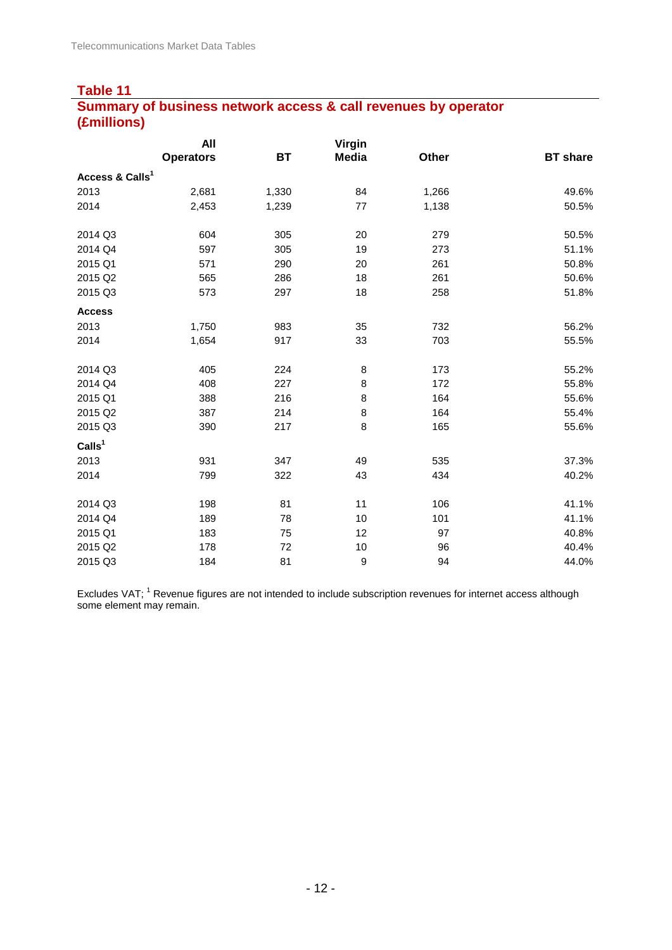## **Table 11 Summary of business network access & call revenues by operator (£millions)**

|                             | All              |           | <b>Virgin</b>    |       |                 |
|-----------------------------|------------------|-----------|------------------|-------|-----------------|
|                             | <b>Operators</b> | <b>BT</b> | <b>Media</b>     | Other | <b>BT</b> share |
| Access & Calls <sup>1</sup> |                  |           |                  |       |                 |
| 2013                        | 2,681            | 1,330     | 84               | 1,266 | 49.6%           |
| 2014                        | 2,453            | 1,239     | 77               | 1,138 | 50.5%           |
| 2014 Q3                     | 604              | 305       | 20               | 279   | 50.5%           |
| 2014 Q4                     | 597              | 305       | 19               | 273   | 51.1%           |
| 2015 Q1                     | 571              | 290       | 20               | 261   | 50.8%           |
| 2015 Q2                     | 565              | 286       | 18               | 261   | 50.6%           |
| 2015 Q3                     | 573              | 297       | 18               | 258   | 51.8%           |
| <b>Access</b>               |                  |           |                  |       |                 |
| 2013                        | 1,750            | 983       | 35               | 732   | 56.2%           |
| 2014                        | 1,654            | 917       | 33               | 703   | 55.5%           |
| 2014 Q3                     | 405              | 224       | $\bf 8$          | 173   | 55.2%           |
| 2014 Q4                     | 408              | 227       | $\bf8$           | 172   | 55.8%           |
| 2015 Q1                     | 388              | 216       | $\bf 8$          | 164   | 55.6%           |
| 2015 Q2                     | 387              | 214       | $\bf8$           | 164   | 55.4%           |
| 2015 Q3                     | 390              | 217       | 8                | 165   | 55.6%           |
| Calls <sup>1</sup>          |                  |           |                  |       |                 |
| 2013                        | 931              | 347       | 49               | 535   | 37.3%           |
| 2014                        | 799              | 322       | 43               | 434   | 40.2%           |
| 2014 Q3                     | 198              | 81        | 11               | 106   | 41.1%           |
| 2014 Q4                     | 189              | 78        | 10               | 101   | 41.1%           |
| 2015 Q1                     | 183              | 75        | 12               | 97    | 40.8%           |
| 2015 Q2                     | 178              | 72        | 10               | 96    | 40.4%           |
| 2015 Q3                     | 184              | 81        | $\boldsymbol{9}$ | 94    | 44.0%           |

Excludes VAT; <sup>1</sup> Revenue figures are not intended to include subscription revenues for internet access although some element may remain.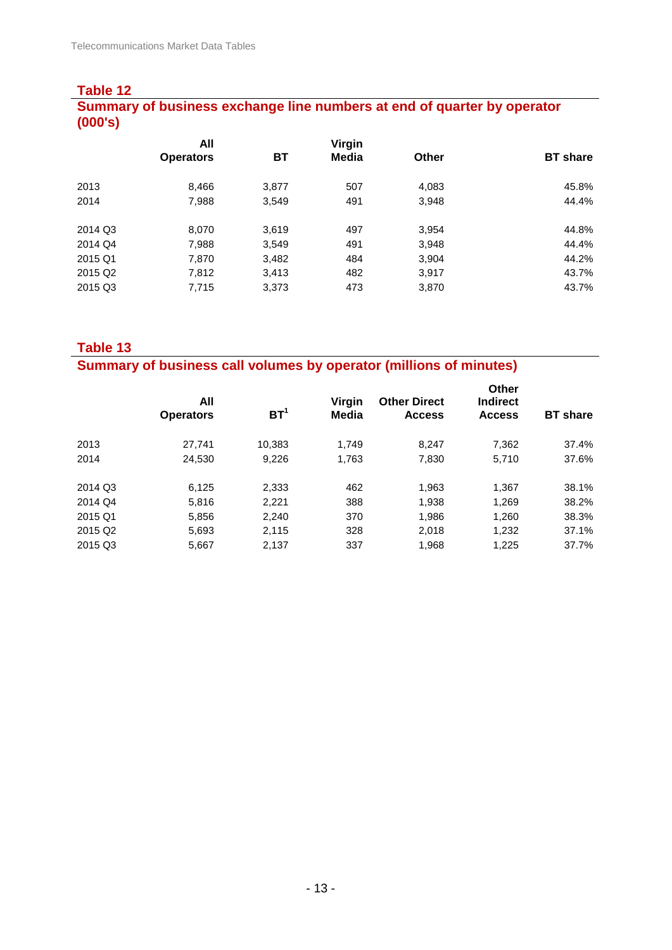## **Table 12 Summary of business exchange line numbers at end of quarter by operator (000's)**

|         | All              |       | Virgin |              |                 |
|---------|------------------|-------|--------|--------------|-----------------|
|         | <b>Operators</b> | BT    | Media  | <b>Other</b> | <b>BT</b> share |
| 2013    | 8,466            | 3,877 | 507    | 4,083        | 45.8%           |
| 2014    | 7,988            | 3,549 | 491    | 3,948        | 44.4%           |
| 2014 Q3 | 8,070            | 3,619 | 497    | 3,954        | 44.8%           |
| 2014 Q4 | 7,988            | 3,549 | 491    | 3,948        | 44.4%           |
| 2015 Q1 | 7,870            | 3,482 | 484    | 3,904        | 44.2%           |
| 2015 Q2 | 7,812            | 3,413 | 482    | 3,917        | 43.7%           |
| 2015 Q3 | 7,715            | 3,373 | 473    | 3,870        | 43.7%           |

**Table 13**

**Summary of business call volumes by operator (millions of minutes)**

| All<br><b>Operators</b> | BT <sup>1</sup> | Virgin<br>Media | <b>Other Direct</b><br><b>Access</b> | <b>Other</b><br><b>Indirect</b><br><b>Access</b> | <b>BT</b> share |
|-------------------------|-----------------|-----------------|--------------------------------------|--------------------------------------------------|-----------------|
| 27.741                  | 10,383          | 1.749           | 8.247                                | 7,362                                            | 37.4%           |
| 24,530                  | 9.226           | 1.763           | 7,830                                | 5.710                                            | 37.6%           |
| 6,125                   | 2,333           | 462             | 1,963                                | 1,367                                            | 38.1%           |
| 5,816                   | 2,221           | 388             | 1,938                                | 1,269                                            | 38.2%           |
| 5,856                   | 2,240           | 370             | 1,986                                | 1,260                                            | 38.3%           |
| 5,693                   | 2,115           | 328             | 2.018                                | 1,232                                            | 37.1%           |
| 5,667                   | 2,137           | 337             | 1,968                                | 1,225                                            | 37.7%           |
|                         |                 |                 |                                      |                                                  |                 |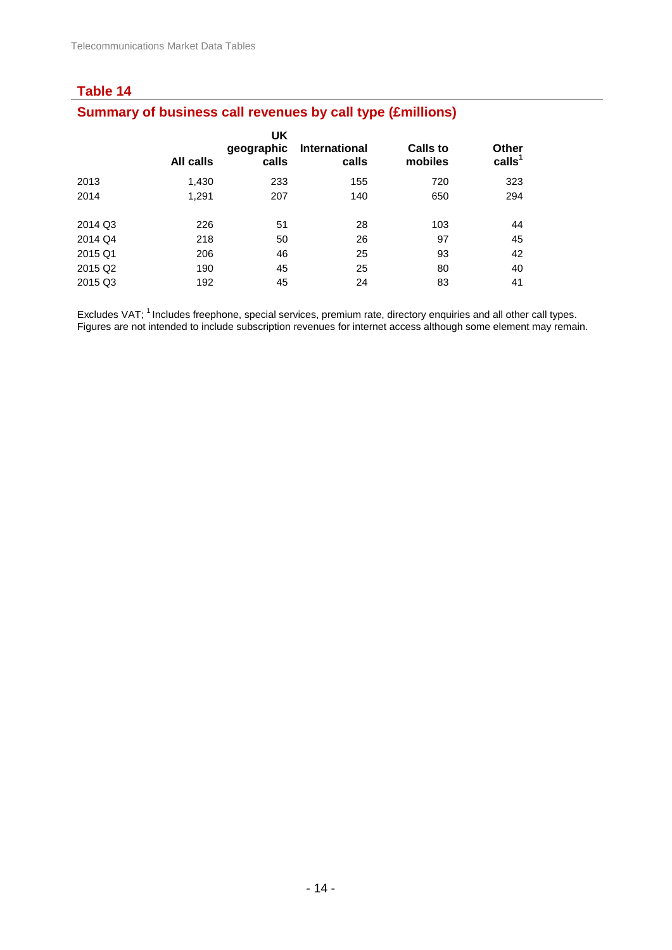## **Table 14 Summary of business call revenues by call type (£millions)**

|                     | All calls | UK<br>geographic<br>calls | International<br>calls | <b>Calls to</b><br>mobiles | <b>Other</b><br>calls <sup>1</sup> |
|---------------------|-----------|---------------------------|------------------------|----------------------------|------------------------------------|
| 2013                | 1,430     | 233                       | 155                    | 720                        | 323                                |
| 2014                | 1,291     | 207                       | 140                    | 650                        | 294                                |
| 2014 Q3             | 226       | 51                        | 28                     | 103                        | 44                                 |
| 2014 Q4             | 218       | 50                        | 26                     | 97                         | 45                                 |
| 2015 Q1             | 206       | 46                        | 25                     | 93                         | 42                                 |
| 2015 Q <sub>2</sub> | 190       | 45                        | 25                     | 80                         | 40                                 |
| 2015 Q3             | 192       | 45                        | 24                     | 83                         | 41                                 |

Excludes VAT; <sup>1</sup> Includes freephone, special services, premium rate, directory enquiries and all other call types. Figures are not intended to include subscription revenues for internet access although some element may remain.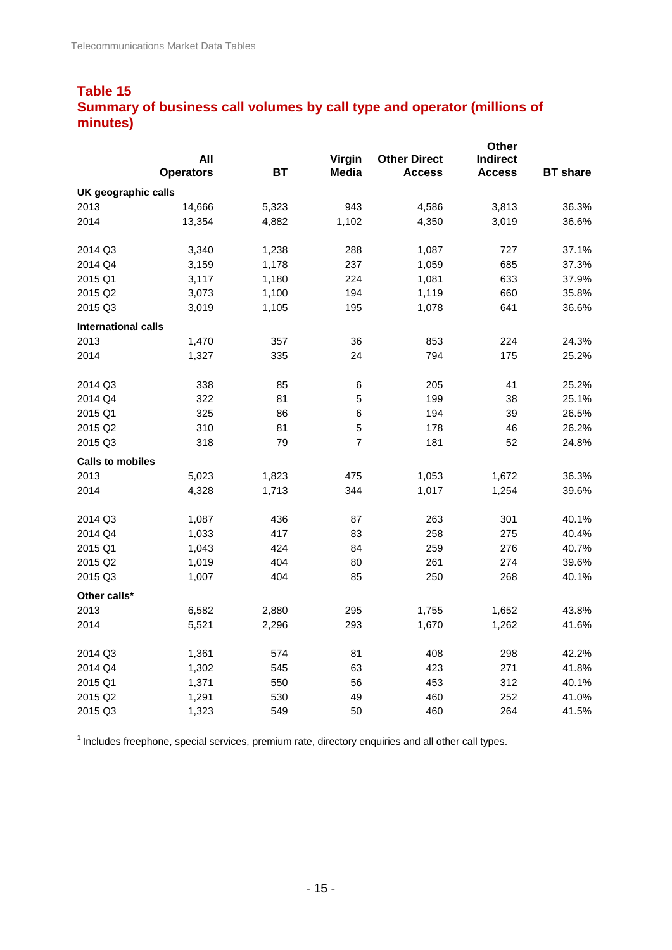## **Summary of business call volumes by call type and operator (millions of minutes)**

|                            |                  |           |                |                     | Other           |                 |
|----------------------------|------------------|-----------|----------------|---------------------|-----------------|-----------------|
|                            | All              |           | Virgin         | <b>Other Direct</b> | <b>Indirect</b> |                 |
|                            | <b>Operators</b> | <b>BT</b> | <b>Media</b>   | <b>Access</b>       | <b>Access</b>   | <b>BT</b> share |
| UK geographic calls        |                  |           |                |                     |                 |                 |
| 2013                       | 14,666           | 5,323     | 943            | 4,586               | 3,813           | 36.3%           |
| 2014                       | 13,354           | 4,882     | 1,102          | 4,350               | 3,019           | 36.6%           |
| 2014 Q3                    | 3,340            | 1,238     | 288            | 1,087               | 727             | 37.1%           |
| 2014 Q4                    | 3,159            | 1,178     | 237            | 1,059               | 685             | 37.3%           |
| 2015 Q1                    | 3,117            | 1,180     | 224            | 1,081               | 633             | 37.9%           |
| 2015 Q2                    | 3,073            | 1,100     | 194            | 1,119               | 660             | 35.8%           |
| 2015 Q3                    | 3,019            | 1,105     | 195            | 1,078               | 641             | 36.6%           |
| <b>International calls</b> |                  |           |                |                     |                 |                 |
| 2013                       | 1,470            | 357       | 36             | 853                 | 224             | 24.3%           |
| 2014                       | 1,327            | 335       | 24             | 794                 | 175             | 25.2%           |
| 2014 Q3                    | 338              | 85        | 6              | 205                 | 41              | 25.2%           |
| 2014 Q4                    | 322              | 81        | 5              | 199                 | 38              | 25.1%           |
| 2015 Q1                    | 325              | 86        | 6              | 194                 | 39              | 26.5%           |
| 2015 Q2                    | 310              | 81        | 5              | 178                 | ${\bf 46}$      | 26.2%           |
| 2015 Q3                    | 318              | 79        | $\overline{7}$ | 181                 | 52              | 24.8%           |
| <b>Calls to mobiles</b>    |                  |           |                |                     |                 |                 |
| 2013                       | 5,023            | 1,823     | 475            | 1,053               | 1,672           | 36.3%           |
| 2014                       | 4,328            | 1,713     | 344            | 1,017               | 1,254           | 39.6%           |
| 2014 Q3                    | 1,087            | 436       | 87             | 263                 | 301             | 40.1%           |
| 2014 Q4                    | 1,033            | 417       | 83             | 258                 | 275             | 40.4%           |
| 2015 Q1                    | 1,043            | 424       | 84             | 259                 | 276             | 40.7%           |
| 2015 Q2                    | 1,019            | 404       | 80             | 261                 | 274             | 39.6%           |
| 2015 Q3                    | 1,007            | 404       | 85             | 250                 | 268             | 40.1%           |
| Other calls*               |                  |           |                |                     |                 |                 |
| 2013                       | 6,582            | 2,880     | 295            | 1,755               | 1,652           | 43.8%           |
| 2014                       | 5,521            | 2,296     | 293            | 1,670               | 1,262           | 41.6%           |
| 2014 Q3                    | 1,361            | 574       | 81             | 408                 | 298             | 42.2%           |
| 2014 Q4                    | 1,302            | 545       | 63             | 423                 | 271             | 41.8%           |
| 2015 Q1                    |                  | 550       | 56             | 453                 | 312             | 40.1%           |
| 2015 Q2                    | 1,291            | 530       | 49             | 460                 | 252             | 41.0%           |
| 2015 Q3                    | 1,323            | 549       | 50             | 460                 | 264             | 41.5%           |
|                            | 1,371            |           |                |                     |                 |                 |

 $1$  Includes freephone, special services, premium rate, directory enquiries and all other call types.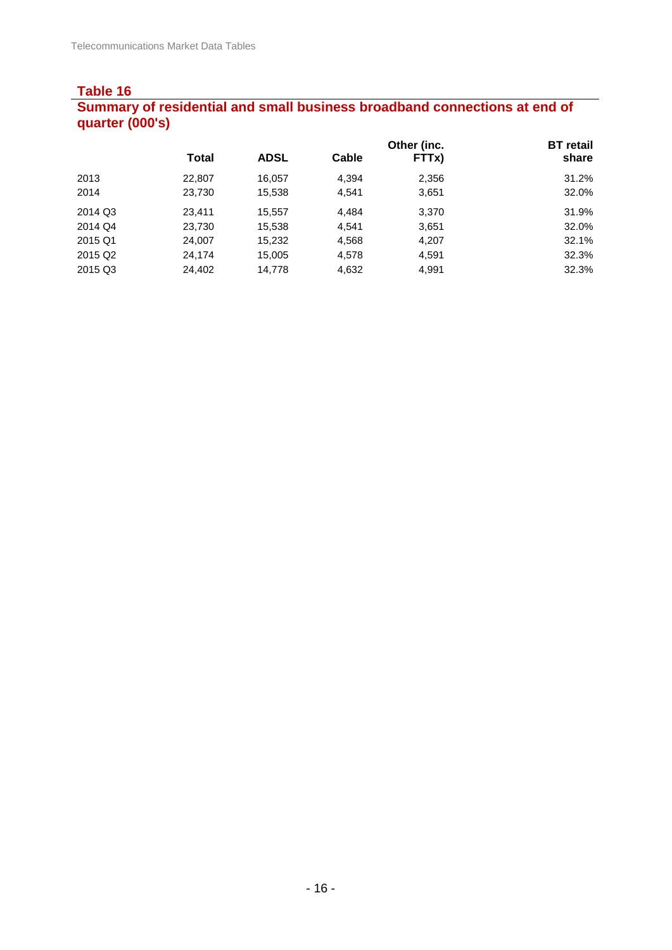#### **Table 16 Summary of residential and small business broadband connections at end of quarter (000's)**

|                     |              |             |       | Other (inc. | <b>BT</b> retail |
|---------------------|--------------|-------------|-------|-------------|------------------|
|                     | <b>Total</b> | <b>ADSL</b> | Cable | FTTx)       | share            |
| 2013                | 22,807       | 16.057      | 4.394 | 2,356       | 31.2%            |
| 2014                | 23,730       | 15,538      | 4,541 | 3,651       | 32.0%            |
| 2014 Q3             | 23.411       | 15,557      | 4.484 | 3,370       | 31.9%            |
| 2014 Q4             | 23,730       | 15,538      | 4.541 | 3,651       | 32.0%            |
| 2015 Q1             | 24,007       | 15,232      | 4,568 | 4,207       | 32.1%            |
| 2015 Q <sub>2</sub> | 24,174       | 15,005      | 4,578 | 4,591       | 32.3%            |
| 2015 Q3             | 24,402       | 14,778      | 4,632 | 4,991       | 32.3%            |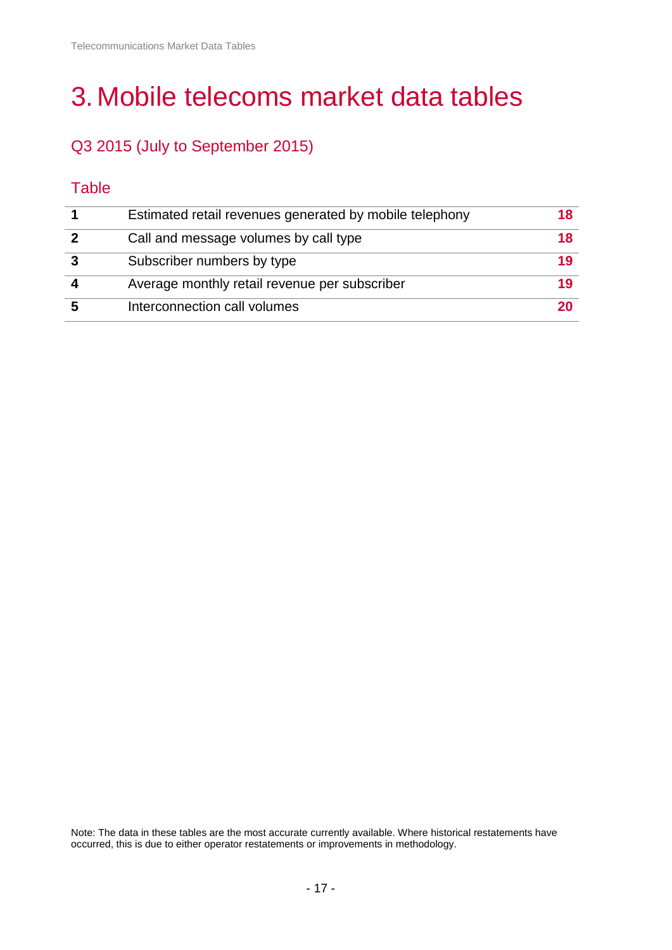# 3.Mobile telecoms market data tables

# Q3 2015 (July to September 2015)

## **Table**

| Estimated retail revenues generated by mobile telephony | 18 |
|---------------------------------------------------------|----|
| Call and message volumes by call type                   | 18 |
| Subscriber numbers by type                              | 19 |
| Average monthly retail revenue per subscriber           | 19 |
| Interconnection call volumes                            | 20 |

Note: The data in these tables are the most accurate currently available. Where historical restatements have occurred, this is due to either operator restatements or improvements in methodology.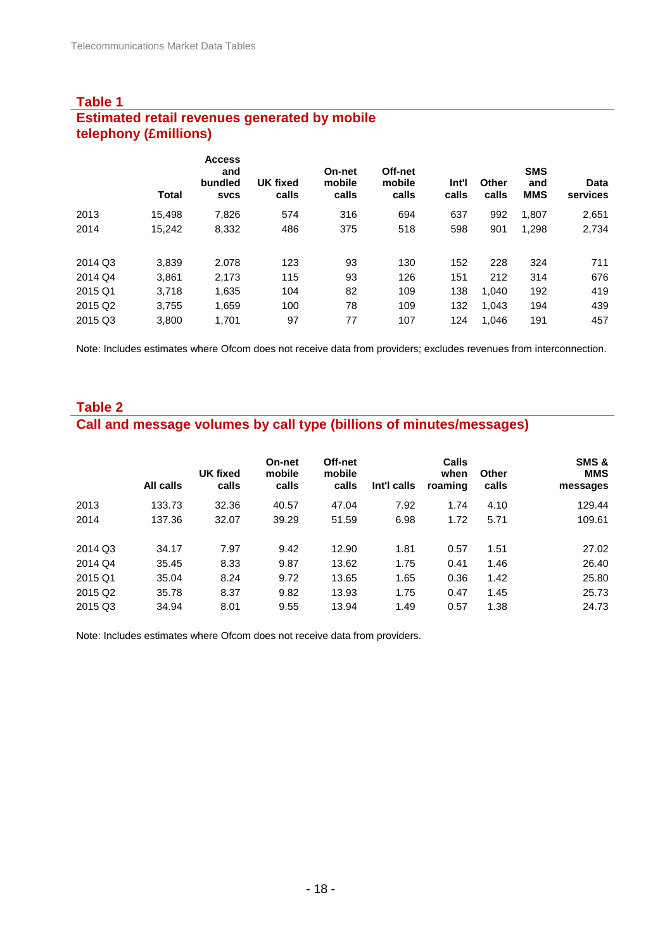#### **Table 1 Estimated retail revenues generated by mobile telephony (£millions)**

|                     | <b>Total</b> | <b>Access</b><br>and<br>bundled<br><b>SVCS</b> | <b>UK fixed</b><br>calls | On-net<br>mobile<br>calls | Off-net<br>mobile<br>calls | Int'l<br>calls | Other<br>calls | <b>SMS</b><br>and<br><b>MMS</b> | Data<br>services |
|---------------------|--------------|------------------------------------------------|--------------------------|---------------------------|----------------------------|----------------|----------------|---------------------------------|------------------|
| 2013                | 15,498       | 7,826                                          | 574                      | 316                       | 694                        | 637            | 992            | 1,807                           | 2,651            |
| 2014                | 15,242       | 8,332                                          | 486                      | 375                       | 518                        | 598            | 901            | 1,298                           | 2,734            |
| 2014 Q3             | 3,839        | 2,078                                          | 123                      | 93                        | 130                        | 152            | 228            | 324                             | 711              |
| 2014 Q4             | 3,861        | 2,173                                          | 115                      | 93                        | 126                        | 151            | 212            | 314                             | 676              |
| 2015 Q1             | 3,718        | 1,635                                          | 104                      | 82                        | 109                        | 138            | 1.040          | 192                             | 419              |
| 2015 Q <sub>2</sub> | 3,755        | 1,659                                          | 100                      | 78                        | 109                        | 132            | 1.043          | 194                             | 439              |
| 2015 Q3             | 3.800        | 1,701                                          | 97                       | 77                        | 107                        | 124            | 1.046          | 191                             | 457              |

Note: Includes estimates where Ofcom does not receive data from providers; excludes revenues from interconnection.

## **Table 2 Call and message volumes by call type (billions of minutes/messages)**

|                     | All calls | <b>UK fixed</b><br>calls | On-net<br>mobile<br>calls | Off-net<br>mobile<br>calls | Int'l calls | Calls<br>when<br>roaming | Other<br>calls | SMS &<br><b>MMS</b><br>messages |
|---------------------|-----------|--------------------------|---------------------------|----------------------------|-------------|--------------------------|----------------|---------------------------------|
| 2013                | 133.73    | 32.36                    | 40.57                     | 47.04                      | 7.92        | 1.74                     | 4.10           | 129.44                          |
| 2014                | 137.36    | 32.07                    | 39.29                     | 51.59                      | 6.98        | 1.72                     | 5.71           | 109.61                          |
| 2014 Q3             | 34.17     | 7.97                     | 9.42                      | 12.90                      | 1.81        | 0.57                     | 1.51           | 27.02                           |
| 2014 Q4             | 35.45     | 8.33                     | 9.87                      | 13.62                      | 1.75        | 0.41                     | 1.46           | 26.40                           |
| 2015 Q1             | 35.04     | 8.24                     | 9.72                      | 13.65                      | 1.65        | 0.36                     | 1.42           | 25.80                           |
| 2015 Q <sub>2</sub> | 35.78     | 8.37                     | 9.82                      | 13.93                      | 1.75        | 0.47                     | 1.45           | 25.73                           |
| 2015 Q3             | 34.94     | 8.01                     | 9.55                      | 13.94                      | 1.49        | 0.57                     | 1.38           | 24.73                           |

Note: Includes estimates where Ofcom does not receive data from providers.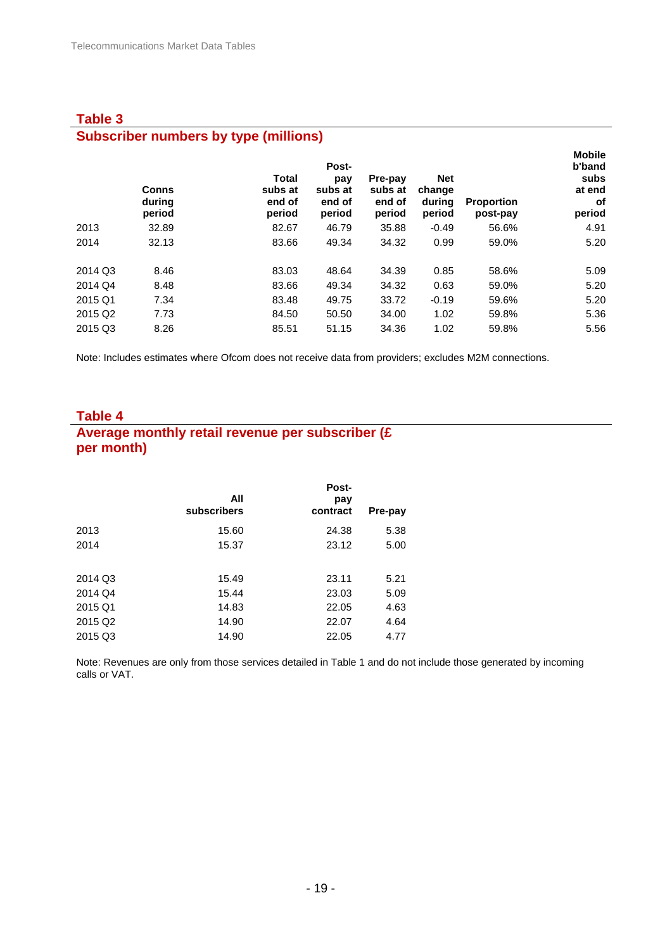## **Table 3 Subscriber numbers by type (millions)**

|                     | <b>Conns</b><br>during<br>period | <b>Total</b><br>subs at<br>end of<br>period | Post-<br>pay<br>subs at<br>end of<br>period | Pre-pay<br>subs at<br>end of<br>period | <b>Net</b><br>change<br>during<br>period | <b>Proportion</b><br>post-pay | <b>Mobile</b><br>b'band<br>subs<br>at end<br>оf<br>period |
|---------------------|----------------------------------|---------------------------------------------|---------------------------------------------|----------------------------------------|------------------------------------------|-------------------------------|-----------------------------------------------------------|
| 2013                | 32.89                            | 82.67                                       | 46.79                                       | 35.88                                  | $-0.49$                                  | 56.6%                         | 4.91                                                      |
| 2014                | 32.13                            | 83.66                                       | 49.34                                       | 34.32                                  | 0.99                                     | 59.0%                         | 5.20                                                      |
| 2014 Q3             | 8.46                             | 83.03                                       | 48.64                                       | 34.39                                  | 0.85                                     | 58.6%                         | 5.09                                                      |
| 2014 Q4             | 8.48                             | 83.66                                       | 49.34                                       | 34.32                                  | 0.63                                     | 59.0%                         | 5.20                                                      |
| 2015 Q1             | 7.34                             | 83.48                                       | 49.75                                       | 33.72                                  | $-0.19$                                  | 59.6%                         | 5.20                                                      |
| 2015 Q <sub>2</sub> | 7.73                             | 84.50                                       | 50.50                                       | 34.00                                  | 1.02                                     | 59.8%                         | 5.36                                                      |
| 2015 Q3             | 8.26                             | 85.51                                       | 51.15                                       | 34.36                                  | 1.02                                     | 59.8%                         | 5.56                                                      |

Note: Includes estimates where Ofcom does not receive data from providers; excludes M2M connections.

#### **Table 4 Average monthly retail revenue per subscriber (£ per month)**

|                     | All<br>subscribers | Post-<br>pay<br>contract | Pre-pay |
|---------------------|--------------------|--------------------------|---------|
| 2013                | 15.60              | 24.38                    | 5.38    |
| 2014                | 15.37              | 23.12                    | 5.00    |
|                     |                    |                          |         |
| 2014 Q3             | 15.49              | 23.11                    | 5.21    |
| 2014 Q4             | 15.44              | 23.03                    | 5.09    |
| 2015 Q1             | 14.83              | 22.05                    | 4.63    |
| 2015 Q <sub>2</sub> | 14.90              | 22.07                    | 4.64    |
| 2015 Q3             | 14.90              | 22.05                    | 4.77    |

Note: Revenues are only from those services detailed in Table 1 and do not include those generated by incoming calls or VAT.